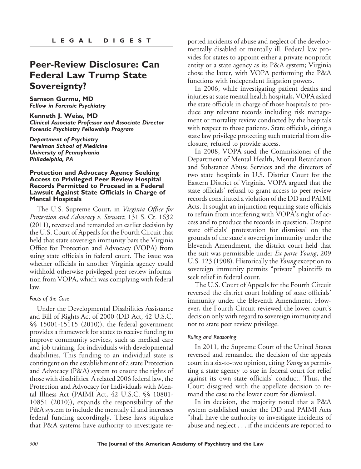# **Peer-Review Disclosure: Can Federal Law Trump State Sovereignty?**

**Samson Gurmu, MD** *Fellow in Forensic Psychiatry*

**Kenneth J. Weiss, MD** *Clinical Associate Professor and Associate Director Forensic Psychiatry Fellowship Program*

*Department of Psychiatry Perelman School of Medicine University of Pennsylvania Philadelphia, PA*

### **Protection and Advocacy Agency Seeking Access to Privileged Peer Review Hospital Records Permitted to Proceed in a Federal Lawsuit Against State Officials in Charge of Mental Hospitals**

The U.S. Supreme Court, in *Virginia Office for Protection and Advocacy v. Stewart*, 131 S. Ct. 1632 (2011), reversed and remanded an earlier decision by the U.S. Court of Appeals for the Fourth Circuit that held that state sovereign immunity bars the Virginia Office for Protection and Advocacy (VOPA) from suing state officials in federal court. The issue was whether officials in another Virginia agency could withhold otherwise privileged peer review information from VOPA, which was complying with federal law.

#### *Facts of the Case*

Under the Developmental Disabilities Assistance and Bill of Rights Act of 2000 (DD Act, 42 U.S.C. §§ 15001-15115 (2010)), the federal government provides a framework for states to receive funding to improve community services, such as medical care and job training, for individuals with developmental disabilities. This funding to an individual state is contingent on the establishment of a state Protection and Advocacy (P&A) system to ensure the rights of those with disabilities. A related 2006 federal law, the Protection and Advocacy for Individuals with Mental Illness Act (PAIMI Act, 42 U.S.C. §§ 10801- 10851 (2010)), expands the responsibility of the P&A system to include the mentally ill and increases federal funding accordingly. These laws stipulate that P&A systems have authority to investigate reported incidents of abuse and neglect of the developmentally disabled or mentally ill. Federal law provides for states to appoint either a private nonprofit entity or a state agency as its P&A system; Virginia chose the latter, with VOPA performing the P&A functions with independent litigation powers.

In 2006, while investigating patient deaths and injuries at state mental health hospitals, VOPA asked the state officials in charge of those hospitals to produce any relevant records including risk management or mortality review conducted by the hospitals with respect to those patients. State officials, citing a state law privilege protecting such material from disclosure, refused to provide access.

In 2008, VOPA sued the Commissioner of the Department of Mental Health, Mental Retardation and Substance Abuse Services and the directors of two state hospitals in U.S. District Court for the Eastern District of Virginia. VOPA argued that the state officials' refusal to grant access to peer review records constituted a violation of the DD and PAIMI Acts. It sought an injunction requiring state officials to refrain from interfering with VOPA's right of access and to produce the records in question. Despite state officials' protestation for dismissal on the grounds of the state's sovereign immunity under the Eleventh Amendment, the district court held that the suit was permissible under *Ex parte Young*, 209 U.S. 123 (1908). Historically the *Young*exception to sovereign immunity permits "private" plaintiffs to seek relief in federal court.

The U.S. Court of Appeals for the Fourth Circuit reversed the district court holding of state officials' immunity under the Eleventh Amendment. However, the Fourth Circuit reviewed the lower court's decision only with regard to sovereign immunity and not to state peer review privilege.

#### *Ruling and Reasoning*

In 2011, the Supreme Court of the United States reversed and remanded the decision of the appeals court in a six-to-two opinion, citing *Young* as permitting a state agency to sue in federal court for relief against its own state officials' conduct. Thus, the Court disagreed with the appellate decision to remand the case to the lower court for dismissal.

In its decision, the majority noted that a P&A system established under the DD and PAIMI Acts "shall have the authority to investigate incidents of abuse and neglect . . . if the incidents are reported to